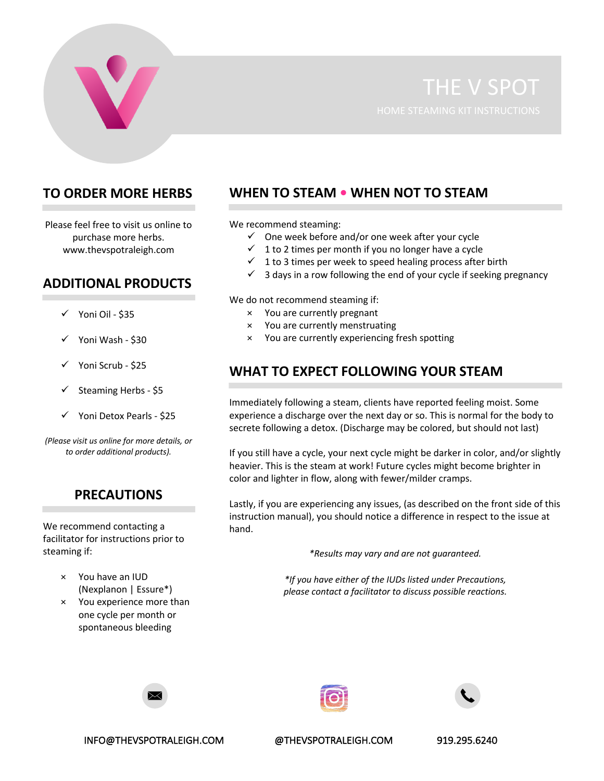

## **TO ORDER MORE HERBS**

Please feel free to visit us online to purchase more herbs. www.thevspotraleigh.com

### **ADDITIONAL PRODUCTS**

- Yoni Oil \$35
- Yoni Wash \$30
- $\checkmark$  Yoni Scrub \$25
- Steaming Herbs \$5
- Yoni Detox Pearls \$25

*(Please visit us online for more details, or to order additional products).*

#### **PRECAUTIONS**

We recommend contacting a facilitator for instructions prior to steaming if:

- × You have an IUD (Nexplanon | Essure\*)
- × You experience more than one cycle per month or spontaneous bleeding

# **WHEN TO STEAM • WHEN NOT TO STEAM**

We recommend steaming:

- $\checkmark$  One week before and/or one week after your cycle
- $\checkmark$  1 to 2 times per month if you no longer have a cycle
- $\checkmark$  1 to 3 times per week to speed healing process after birth
- $\checkmark$  3 days in a row following the end of your cycle if seeking pregnancy

We do not recommend steaming if:

- × You are currently pregnant
- × You are currently menstruating
- × You are currently experiencing fresh spotting

### **WHAT TO EXPECT FOLLOWING YOUR STEAM**

Immediately following a steam, clients have reported feeling moist. Some experience a discharge over the next day or so. This is normal for the body to secrete following a detox. (Discharge may be colored, but should not last)

If you still have a cycle, your next cycle might be darker in color, and/or slightly heavier. This is the steam at work! Future cycles might become brighter in color and lighter in flow, along with fewer/milder cramps.

Lastly, if you are experiencing any issues, (as described on the front side of this instruction manual), you should notice a difference in respect to the issue at hand.

*\*Results may vary and are not guaranteed.*

*\*If you have either of the IUDs listed under Precautions, please contact a facilitator to discuss possible reactions.*







INFO@THEVSPOTRALEIGH.COM @THEVSPOTRALEIGH.COM 919.295.6240